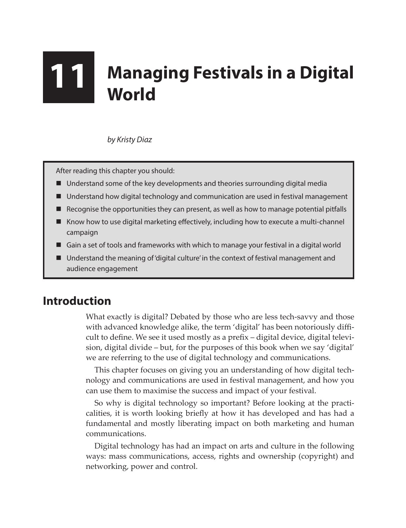# **11 Managing Festivals in a Digital World**

*by Kristy Diaz*

After reading this chapter you should:

- Understand some of the key developments and theories surrounding digital media
- Understand how digital technology and communication are used in festival management
- Recognise the opportunities they can present, as well as how to manage potential pitfalls
- $\blacksquare$  Know how to use digital marketing effectively, including how to execute a multi-channel campaign
- Gain a set of tools and frameworks with which to manage your festival in a digital world
- Understand the meaning of 'digital culture' in the context of festival management and audience engagement

# **Introduction**

What exactly is digital? Debated by those who are less tech-savvy and those with advanced knowledge alike, the term 'digital' has been notoriously difficult to define. We see it used mostly as a prefix – digital device, digital television, digital divide – but, for the purposes of this book when we say 'digital' we are referring to the use of digital technology and communications.

This chapter focuses on giving you an understanding of how digital technology and communications are used in festival management, and how you can use them to maximise the success and impact of your festival.

So why is digital technology so important? Before looking at the practicalities, it is worth looking briefly at how it has developed and has had a fundamental and mostly liberating impact on both marketing and human communications.

Digital technology has had an impact on arts and culture in the following ways: mass communications, access, rights and ownership (copyright) and networking, power and control.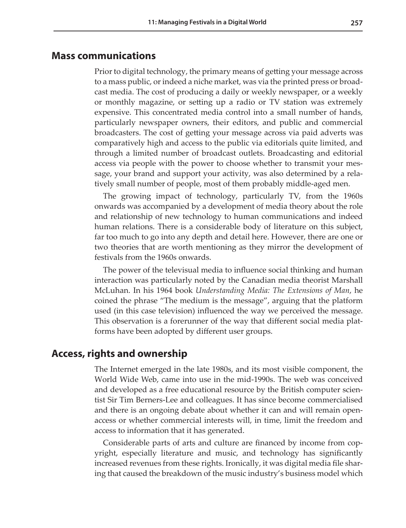#### **Mass communications**

Prior to digital technology, the primary means of getting your message across to a mass public, or indeed a niche market, was via the printed press or broadcast media. The cost of producing a daily or weekly newspaper, or a weekly or monthly magazine, or setting up a radio or TV station was extremely expensive. This concentrated media control into a small number of hands, particularly newspaper owners, their editors, and public and commercial broadcasters. The cost of getting your message across via paid adverts was comparatively high and access to the public via editorials quite limited, and through a limited number of broadcast outlets. Broadcasting and editorial access via people with the power to choose whether to transmit your message, your brand and support your activity, was also determined by a relatively small number of people, most of them probably middle-aged men.

The growing impact of technology, particularly TV, from the 1960s onwards was accompanied by a development of media theory about the role and relationship of new technology to human communications and indeed human relations. There is a considerable body of literature on this subject, far too much to go into any depth and detail here. However, there are one or two theories that are worth mentioning as they mirror the development of festivals from the 1960s onwards.

The power of the televisual media to influence social thinking and human interaction was particularly noted by the Canadian media theorist Marshall McLuhan. In his 1964 book *Understanding Media: The Extensions of Man*, he coined the phrase "The medium is the message", arguing that the platform used (in this case television) influenced the way we perceived the message. This observation is a forerunner of the way that different social media platforms have been adopted by different user groups.

## **Access, rights and ownership**

The Internet emerged in the late 1980s, and its most visible component, the World Wide Web, came into use in the mid-1990s. The web was conceived and developed as a free educational resource by the British computer scientist Sir Tim Berners-Lee and colleagues. It has since become commercialised and there is an ongoing debate about whether it can and will remain openaccess or whether commercial interests will, in time, limit the freedom and access to information that it has generated.

Considerable parts of arts and culture are financed by income from copyright, especially literature and music, and technology has significantly increased revenues from these rights. Ironically, it was digital media file sharing that caused the breakdown of the music industry's business model which